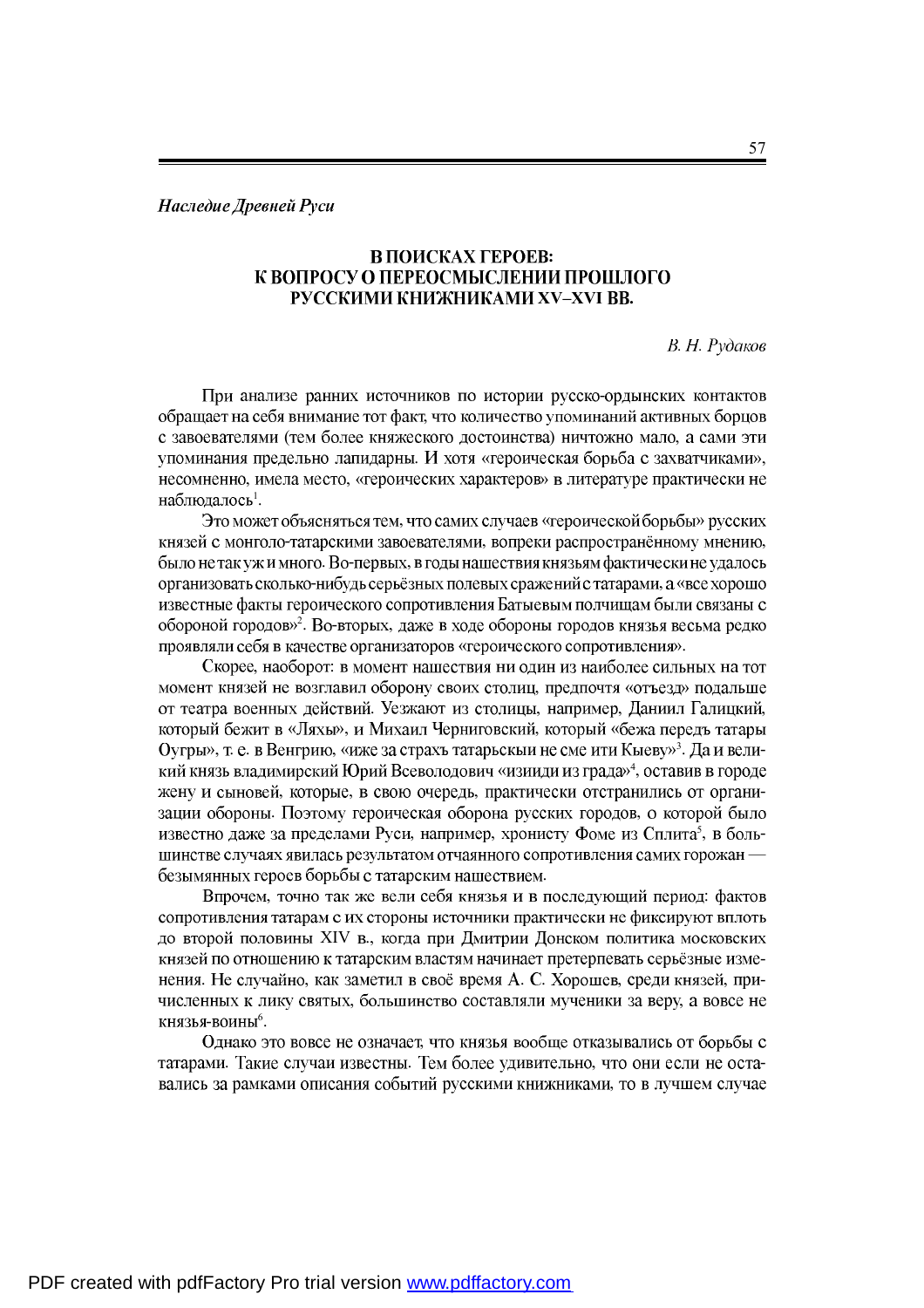Наследие Древней Руси

## В ПОИСКАХ ГЕРОЕВ: К ВОПРОСУ О ПЕРЕОСМЫСЛЕНИИ ПРОШЛОГО РУССКИМИ КНИЖНИКАМИ XV-XVI ВВ.

В. Н. Рудаков

При анализе ранних источников по истории русско-ордынских контактов обращает на себя внимание тот факт, что количество упоминаний активных борцов с завоевателями (тем более княжеского достоинства) ничтожно мало, а сами эти упоминания предельно лапидарны. И хотя «героическая борьба с захватчиками», несомненно, имела место, «героических характеров» в литературе практически не наблюдалось<sup>1</sup>.

Это может объясняться тем, что самих случаев «героической борьбы» русских князей с монголо-татарскими завоевателями, вопреки распространённому мнению, было не так уж и много. Во-первых, в годы нашествия князьям фактически не удалось организовать сколько-нибудь серьёзных полевых сражений с татарами, а «все хорошо известные факты героического сопротивления Батыевым полчищам были связаны с обороной городов»<sup>2</sup>. Во-вторых, даже в ходе обороны городов князья весьма редко проявляли себя в качестве организаторов «героического сопротивления».

Скорее, наоборот: в момент нашествия ни один из наиболее сильных на тот момент князей не возглавил оборону своих столиц, предпочтя «отъезд» подальше от театра военных действий. Уезжают из столицы, например, Даниил Галицкий, который бежит в «Ляхы», и Михаил Черниговский, который «бежа передъ татары Оугры», т. е. в Венгрию, «иже за страхъ татарьскый не сме ити Кыеву»<sup>3</sup>. Да и великий князь владимирский Юрий Всеволодович «изииди из града»<sup>4</sup>, оставив в городе жену и сыновей, которые, в свою очередь, практически отстранились от организации обороны. Поэтому героическая оборона русских городов, о которой было известно даже за пределами Руси, например, хронисту Фоме из Сплита<sup>5</sup>, в большинстве случаях явилась результатом отчаянного сопротивления самих горожан безымянных героев борьбы с татарским нашествием.

Впрочем, точно так же вели себя князья и в последующий период: фактов сопротивления татарам с их стороны источники практически не фиксируют вплоть до второй половины XIV в., когда при Дмитрии Донском политика московских князей по отношению к татарским властям начинает претерпевать серьёзные изменения. Не случайно, как заметил в своё время А. С. Хорошев, среди князей, причисленных к лику святых, большинство составляли мученики за веру, а вовсе не князья-воины<sup>6</sup>.

Однако это вовсе не означает, что князья вообще отказывались от борьбы с татарами. Такие случаи известны. Тем более удивительно, что они если не оставались за рамками описания событий русскими книжниками, то в лучшем случае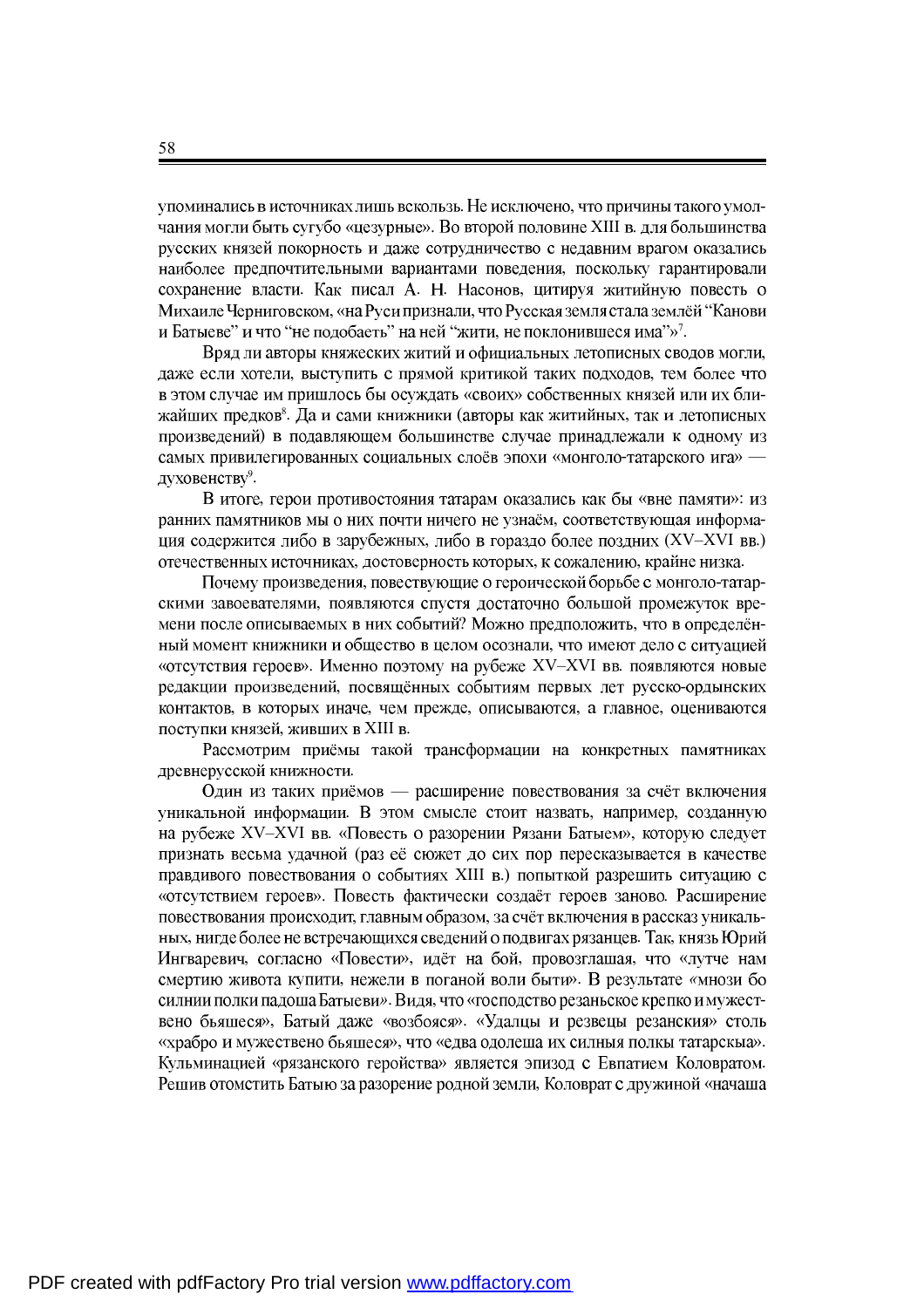упоминались в источниках лишь вскользь. Не исключено, что причины такого умолчания могли быть сугубо «цезурные». Во второй половине XIII в. для большинства русских князей покорность и даже сотрудничество с недавним врагом оказались наиболее предпочтительными вариантами поведения, поскольку гарантировали сохранение власти. Как писал А. Н. Насонов, цитируя житийную повесть о Михаиле Черниговском, «на Руси признали, что Русская земля стала землёй "Канови " и что "не подобаеть" на ней "жити, не поклонившеся има"»<sup>7</sup>.

Вряд ли авторы княжеских житий и официальных летописных сводов могли, даже если хотели, выступить с прямой критикой таких подходов, тем более что в этом случае им пришлось бы осуждать «своих» собственных князей или их бли- $8$ . Да и сами книжники (авторы как житийных, произведений) в подавляющем большинстве случае принадлежали к одному из самых привилегированных социальных слоёв эпохи «монголо-татарского ига» -9 .

В итоге, герои противостояния татарам оказались как бы «вне памяти»: из ранних памятников мы о них почти ничего не узнаём, соответствующая информация содержится либо в зарубежных, либо в гораздо более поздних (XV-XVI вв.) отечественных источниках, достоверность которых, к сожалению, крайне низка.

Почему произведения, повествующие о героической борьбе с монголо-татарскими завоевателями, появляются спустя достаточно большой промежуток времени после описываемых в них событий? Можно предположить, что в определённый момент книжники и общество в целом осознали, что имеют дело с ситуацией «отсутствия героев». Именно поэтому на рубеже XV-XVI вв. появляются новые редакции произведений, посвящённых событиям первых лет русско-ордынских контактов, в которых иначе, чем прежде, описываются, а главное, оцениваются поступки князей, живших в XIII в.

Рассмотрим приёмы такой трансформации на конкретных памятниках древнерусской книжности.

Один из таких приёмов — расширение повествования за счёт включения уникальной информации. В этом смысле стоит назвать, например, созданную на рубеже XV-XVI вв. «Повесть о разорении Рязани Батыем», которую следует признать весьма удачной (раз её сюжет до сих пор пересказывается в качестве правдивого повествования о событиях XIII в.) попыткой разрешить ситуацию с «отсутствием героев». Повесть фактически создаёт героев заново. Расширение повествования происходит, главным образом, за счёт включения в рассказ уникальных, нигде более не встречающихся сведений о подвигах рязанцев. Так, князь Юрий Ингваревич, согласно «Повести», идёт на бой, провозглашая, что «лутче нам смертию живота купити, нежели в поганой воли быти». В результате «мнози бо силнии полки падоша Батыеви». Видя, что «господство резаньское крепко и мужествено бьяшеся», Батый даже «возбояся». «Удалцы и резвецы резанския» столь «храбро и мужествено бьяшеся», что «едва одолеша их силныя полкы татарскыа». Кульминацией «рязанского геройства» является эпизод с Евпатием Коловратом. Решив отомстить Батыю за разорение родной земли, Коловрат с дружиной «начаша

58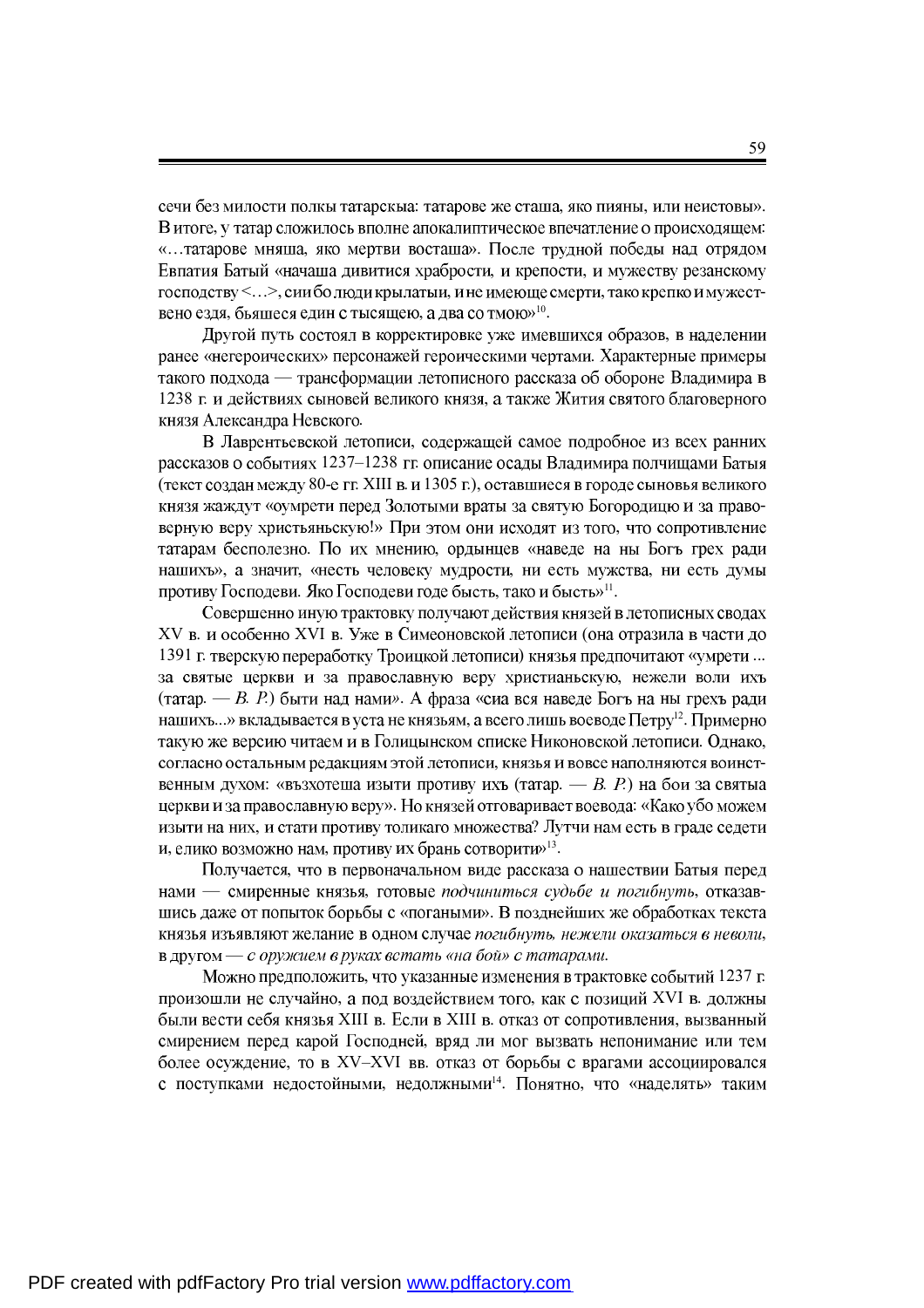сечи без милости полкы татарскыа: татарове же сташа, яко пияны, или неистовы». В итоге, у татар сложилось вполне апокалиптическое впечатление о происходящем: «... татарове мняша, яко мертви восташа». После трудной победы над отрядом Евпатия Батый «начаша дивитися храбрости, и крепости, и мужеству резанскому господству <...>, сии бо люди крылатыи, и не имеюще смерти, тако крепко и мужест-, бьяшеся един с тысящею, а два со тмою»<sup>10</sup>.

Другой путь состоял в корректировке уже имевшихся образов, в наделении ранее «негероических» персонажей героическими чертами. Характерные примеры такого подхода — трансформации летописного рассказа об обороне Владимира в 1238 г. и действиях сыновей великого князя, а также Жития святого благоверного князя Александра Невского.

В Лаврентьевской летописи, содержащей самое подробное из всех ранних рассказов о событиях 1237-1238 гг. описание осады Владимира полчищами Батыя (текст создан между 80-е гг. XIII в. и 1305 г.), оставшиеся в городе сыновья великого князя жаждут «оумрети перед Золотыми враты за святую Богородицю и за правоверную веру христьяньскую!» При этом они исходят из того, что сопротивление татарам бесполезно. По их мнению, ордынцев «наведе на ны Богъ грех ради нашихъ», а значит, «несть человеку мудрости, ни есть мужства, ни есть думы . Яко Господеви годе бысть, тако и бысть»<sup>11</sup>.

Совершенно иную трактовку получают действия князей в летописных сводах XV в. и особенно XVI в. Уже в Симеоновской летописи (она отразила в части до 1391 г. тверскую переработку Троицкой летописи) князья предпочитают «умрети ... за святые церкви и за православную веру христианьскую, нежели воли ихъ (татар. — В. Р.) быти над нами». А фраза «сиа вся наведе Богъ на ны грехъ ради ...» вкладывается в уста не князьям, а всего лишь воеводе Петру<sup>12</sup>.  $\,$ такую же версию читаем и в Голицынском списке Никоновской летописи. Однако, согласно остальным редакциям этой летописи, князья и вовсе наполняются воинственным духом: «възхотеша изыти противу ихъ (татар. — В. P.) на бои за святыа церкви и за православную веру». Но князей отговаривает воевода: «Како убо можем изыти на них, и стати противу толикаго множества? Лутчи нам есть в граде седети , елико возможно нам, противу их брань сотворити»<sup>13</sup>.

Получается, что в первоначальном виде рассказа о нашествии Батыя перед нами - смиренные князья, готовые подчиниться судьбе и погибнуть, отказавшись даже от попыток борьбы с «погаными». В позднейших же обработках текста князья изъявляют желание в одном случае погибнуть, нежели оказаться в неволи, **в другом** — с оружием в руках встать «на бой» с татарами.

Можно предположить, что указанные изменения в трактовке событий 1237 г. произошли не случайно, а под воздействием того, как с позиций XVI в. должны были вести себя князья XIII в. Если в XIII в. отказ от сопротивления, вызванный смирением перед карой Господней, вряд ли мог вызвать непонимание или тем более осуждение, то в XV-XVI вв. отказ от борьбы с врагами ассоциировался , недолжными<sup>14</sup>. Понятно, что «наделять»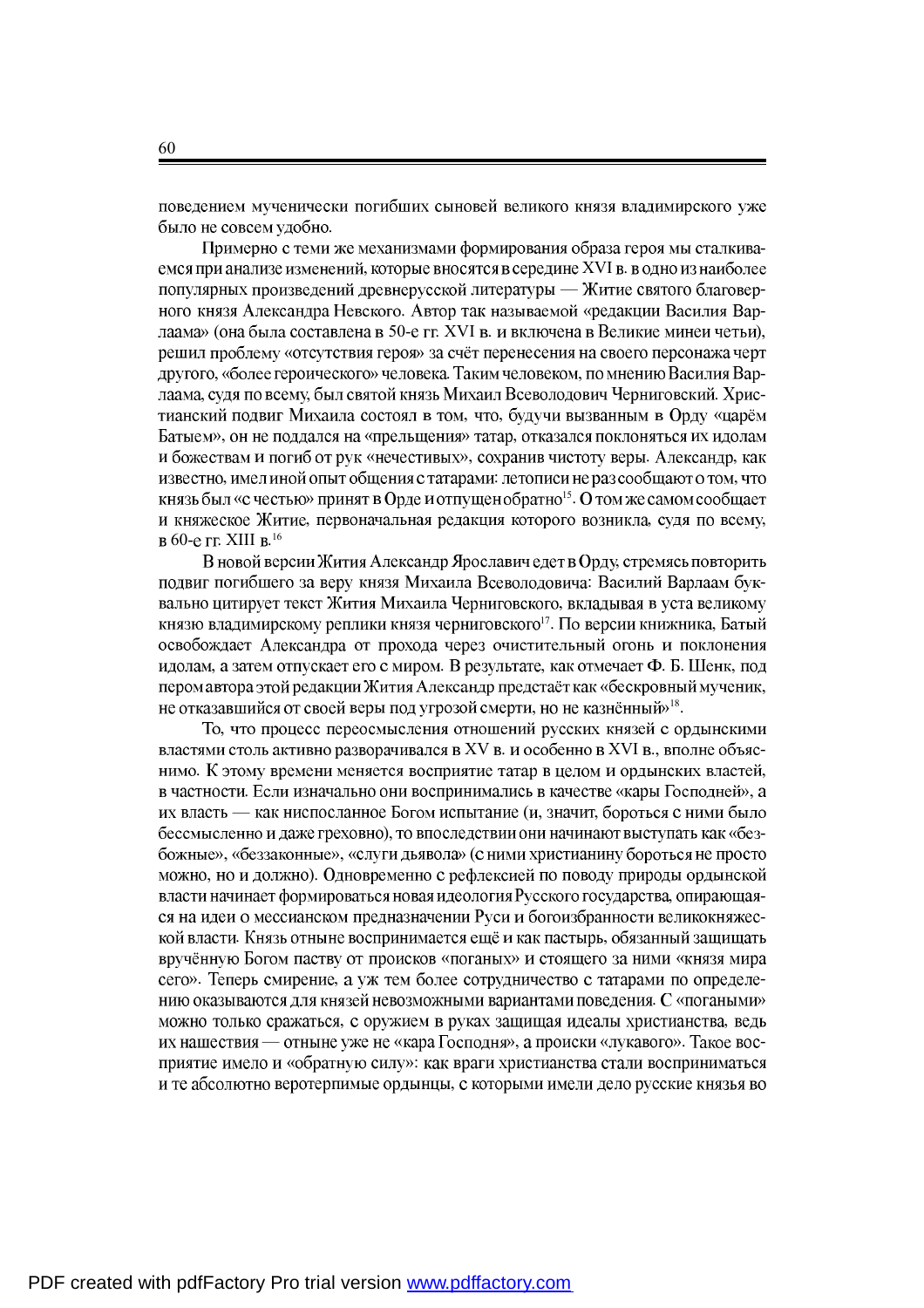поведением мученически погибших сыновей великого князя владимирского уже было не совсем удобно.

Примерно с теми же механизмами формирования образа героя мы сталкиваемся при анализе изменений, которые вносятся в середине XVI в. в одно из наиболее популярных произведений древнерусской литературы — Житие святого благоверного князя Александра Невского. Автор так называемой «редакции Василия Варлаама» (она была составлена в 50-е гг. XVI в. и включена в Великие минеи четьи), решил проблему «отсутствия героя» за счёт перенесения на своего персонажа черт другого, «более героического» человека. Таким человеком, по мнению Василия Варлаама, судя по всему, был святой князь Михаил Всеволодович Черниговский. Христианский подвиг Михаила состоял в том, что, будучи вызванным в Орду «царём Батыем», он не поддался на «прельщения» татар, отказался поклоняться их идолам и божествам и погиб от рук «нечестивых», сохранив чистоту веры. Александр, как известно, имел иной опыт общения с татарами: летописи не раз сообщают о том, что «с честью» принят в Орде и отпущен обратно<sup>15</sup>. и княжеское Житие, первоначальная редакция которого возникла, судя по всему, 60-е гг. XIII в.<sup>16</sup>

В новой версии Жития Александр Ярославич едет в Орду, стремясь повторить подвиг погибшего за веру князя Михаила Всеволодовича: Василий Варлаам буквально цитирует текст Жития Михаила Черниговского, вкладывая в уста великому  $17.$  По версии книжника, освобождает Александра от прохода через очистительный огонь и поклонения идолам, а затем отпускает его с миром. В результате, как отмечает Ф. Б. Шенк, под пером автора этой редакции Жития Александр предстаёт как «бескровный мученик, , но не казнённый»<sup>18</sup>.

То, что процесс переосмысления отношений русских князей с ордынскими властями столь активно разворачивался в XV в. и особенно в XVI в., вполне объяснимо. К этому времени меняется восприятие татар в целом и ордынских властей, в частности. Если изначально они воспринимались в качестве «кары Господней», а их власть — как ниспосланное Богом испытание (и, значит, бороться с ними было бессмысленно и даже греховно), то впоследствии они начинают выступать как «безбожные», «беззаконные», «слуги дьявола» (с ними христианину бороться не просто можно, но и должно). Одновременно с рефлексией по поводу природы ордынской власти начинает формироваться новая идеология Русского государства, опирающаяся на идеи о мессианском предназначении Руси и богоизбранности великокняжеской власти. Князь отныне воспринимается ещё и как пастырь, обязанный защищать вручённую Богом паству от происков «поганых» и стоящего за ними «князя мира сего». Теперь смирение, а уж тем более сотрудничество с татарами по определению оказываются для князей невозможными вариантами поведения. С «погаными» можно только сражаться, с оружием в руках защищая идеалы христианства, ведь их нашествия — отныне уже не «кара Господня», а происки «лукавого». Такое восприятие имело и «обратную силу»: как враги христианства стали восприниматься и те абсолютно веротерпимые ордынцы, с которыми имели дело русские князья во